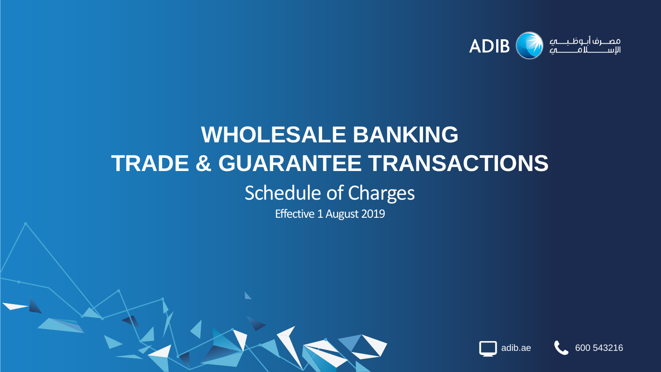

# **WHOLESALE BANKING TRADE & GUARANTEE TRANSACTIONS** Schedule of Charges

Effective 1 August 2019

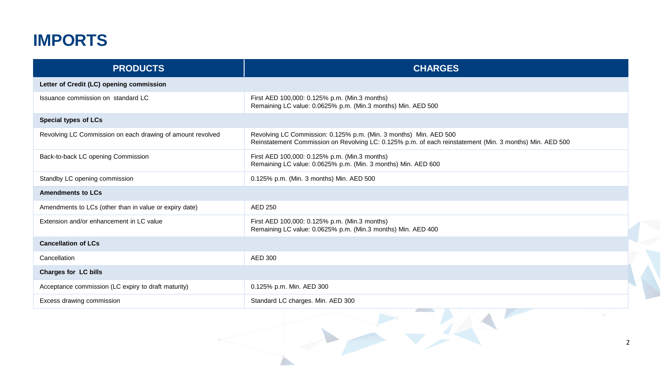### **IMPORTS**

| <b>PRODUCTS</b>                                            | <b>CHARGES</b>                                                                                                                                                                |
|------------------------------------------------------------|-------------------------------------------------------------------------------------------------------------------------------------------------------------------------------|
| Letter of Credit (LC) opening commission                   |                                                                                                                                                                               |
| Issuance commission on standard LC                         | First AED 100,000: 0.125% p.m. (Min.3 months)<br>Remaining LC value: 0.0625% p.m. (Min.3 months) Min. AED 500                                                                 |
| Special types of LCs                                       |                                                                                                                                                                               |
| Revolving LC Commission on each drawing of amount revolved | Revolving LC Commission: 0.125% p.m. (Min. 3 months) Min. AED 500<br>Reinstatement Commission on Revolving LC: 0.125% p.m. of each reinstatement (Min. 3 months) Min. AED 500 |
| Back-to-back LC opening Commission                         | First AED 100,000: 0.125% p.m. (Min.3 months)<br>Remaining LC value: 0.0625% p.m. (Min. 3 months) Min. AED 600                                                                |
| Standby LC opening commission                              | 0.125% p.m. (Min. 3 months) Min. AED 500                                                                                                                                      |
| <b>Amendments to LCs</b>                                   |                                                                                                                                                                               |
| Amendments to LCs (other than in value or expiry date)     | <b>AED 250</b>                                                                                                                                                                |
| Extension and/or enhancement in LC value                   | First AED 100,000: 0.125% p.m. (Min.3 months)<br>Remaining LC value: 0.0625% p.m. (Min.3 months) Min. AED 400                                                                 |
| <b>Cancellation of LCs</b>                                 |                                                                                                                                                                               |
| Cancellation                                               | AED 300                                                                                                                                                                       |
| Charges for LC bills                                       |                                                                                                                                                                               |
| Acceptance commission (LC expiry to draft maturity)        | 0.125% p.m. Min. AED 300                                                                                                                                                      |
| Excess drawing commission                                  | Standard LC charges. Min. AED 300                                                                                                                                             |
|                                                            |                                                                                                                                                                               |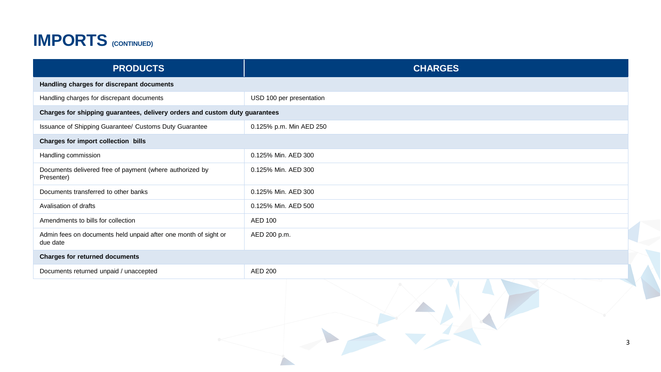### **IMPORTS (CONTINUED)**

| <b>PRODUCTS</b>                                                             | <b>CHARGES</b>           |   |
|-----------------------------------------------------------------------------|--------------------------|---|
| Handling charges for discrepant documents                                   |                          |   |
| Handling charges for discrepant documents                                   | USD 100 per presentation |   |
| Charges for shipping guarantees, delivery orders and custom duty guarantees |                          |   |
| Issuance of Shipping Guarantee/ Customs Duty Guarantee                      | 0.125% p.m. Min AED 250  |   |
| Charges for import collection bills                                         |                          |   |
| Handling commission                                                         | 0.125% Min. AED 300      |   |
| Documents delivered free of payment (where authorized by<br>Presenter)      | 0.125% Min. AED 300      |   |
| Documents transferred to other banks                                        | 0.125% Min. AED 300      |   |
| Avalisation of drafts                                                       | 0.125% Min. AED 500      |   |
| Amendments to bills for collection                                          | <b>AED 100</b>           |   |
| Admin fees on documents held unpaid after one month of sight or<br>due date | AED 200 p.m.             |   |
| Charges for returned documents                                              |                          |   |
| Documents returned unpaid / unaccepted                                      | <b>AED 200</b>           |   |
|                                                                             |                          | 3 |

A.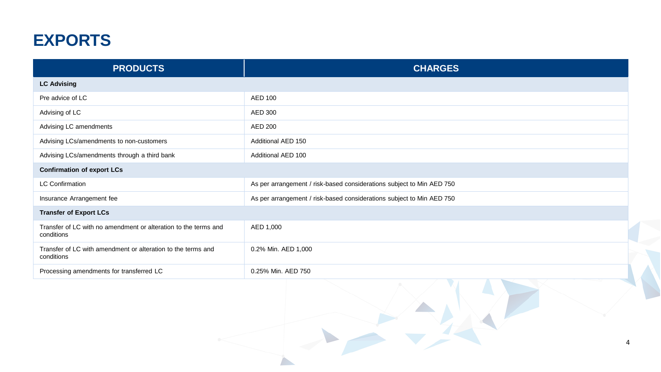#### **EXPORTS**

| <b>PRODUCTS</b>                                                               | <b>CHARGES</b>                                                        |  |
|-------------------------------------------------------------------------------|-----------------------------------------------------------------------|--|
| <b>LC Advising</b>                                                            |                                                                       |  |
| Pre advice of LC                                                              | <b>AED 100</b>                                                        |  |
| Advising of LC                                                                | AED 300                                                               |  |
| Advising LC amendments                                                        | AED 200                                                               |  |
| Advising LCs/amendments to non-customers                                      | Additional AED 150                                                    |  |
| Advising LCs/amendments through a third bank                                  | Additional AED 100                                                    |  |
| <b>Confirmation of export LCs</b>                                             |                                                                       |  |
| <b>LC Confirmation</b>                                                        | As per arrangement / risk-based considerations subject to Min AED 750 |  |
| Insurance Arrangement fee                                                     | As per arrangement / risk-based considerations subject to Min AED 750 |  |
| <b>Transfer of Export LCs</b>                                                 |                                                                       |  |
| Transfer of LC with no amendment or alteration to the terms and<br>conditions | AED 1,000                                                             |  |
| Transfer of LC with amendment or alteration to the terms and<br>conditions    | 0.2% Min. AED 1,000                                                   |  |
| Processing amendments for transferred LC                                      | 0.25% Min. AED 750                                                    |  |
|                                                                               |                                                                       |  |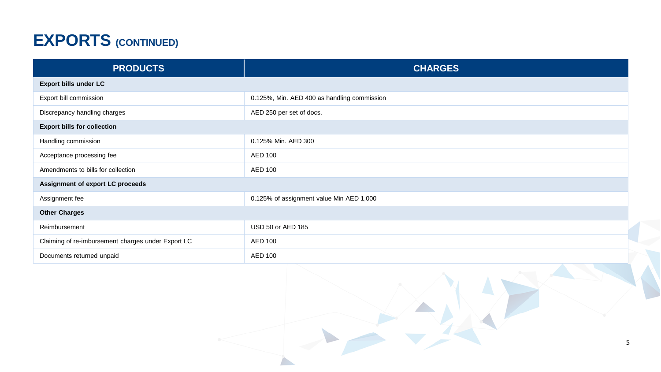## **EXPORTS (CONTINUED)**

| <b>PRODUCTS</b>                                    | <b>CHARGES</b>                              |
|----------------------------------------------------|---------------------------------------------|
| Export bills under LC                              |                                             |
| Export bill commission                             | 0.125%, Min. AED 400 as handling commission |
| Discrepancy handling charges                       | AED 250 per set of docs.                    |
| <b>Export bills for collection</b>                 |                                             |
| Handling commission                                | 0.125% Min. AED 300                         |
| Acceptance processing fee                          | AED 100                                     |
| Amendments to bills for collection                 | <b>AED 100</b>                              |
| Assignment of export LC proceeds                   |                                             |
| Assignment fee                                     | 0.125% of assignment value Min AED 1,000    |
| <b>Other Charges</b>                               |                                             |
| Reimbursement                                      | USD 50 or AED 185                           |
| Claiming of re-imbursement charges under Export LC | AED 100                                     |
| Documents returned unpaid                          | <b>AED 100</b>                              |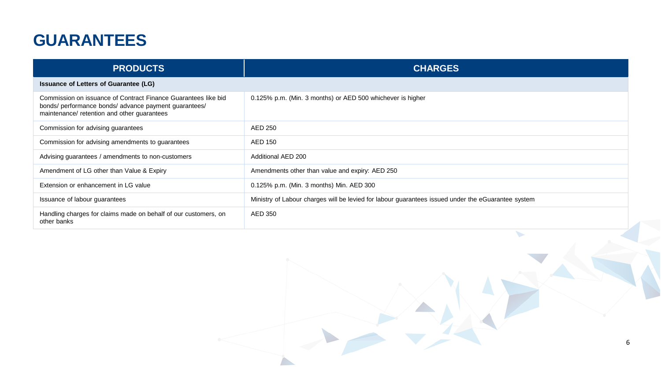#### **GUARANTEES**

| <b>PRODUCTS</b>                                                                                                                                                        | <b>CHARGES</b>                                                                                     |
|------------------------------------------------------------------------------------------------------------------------------------------------------------------------|----------------------------------------------------------------------------------------------------|
| Issuance of Letters of Guarantee (LG)                                                                                                                                  |                                                                                                    |
| Commission on issuance of Contract Finance Guarantees like bid<br>bonds/ performance bonds/ advance payment guarantees/<br>maintenance/ retention and other guarantees | 0.125% p.m. (Min. 3 months) or AED 500 whichever is higher                                         |
| Commission for advising guarantees                                                                                                                                     | AED 250                                                                                            |
| Commission for advising amendments to guarantees                                                                                                                       | AED 150                                                                                            |
| Advising guarantees / amendments to non-customers                                                                                                                      | Additional AED 200                                                                                 |
| Amendment of LG other than Value & Expiry                                                                                                                              | Amendments other than value and expiry: AED 250                                                    |
| Extension or enhancement in LG value                                                                                                                                   | 0.125% p.m. (Min. 3 months) Min. AED 300                                                           |
| Issuance of labour guarantees                                                                                                                                          | Ministry of Labour charges will be levied for labour guarantees issued under the eGuarantee system |
| Handling charges for claims made on behalf of our customers, on<br>other banks                                                                                         | AED 350                                                                                            |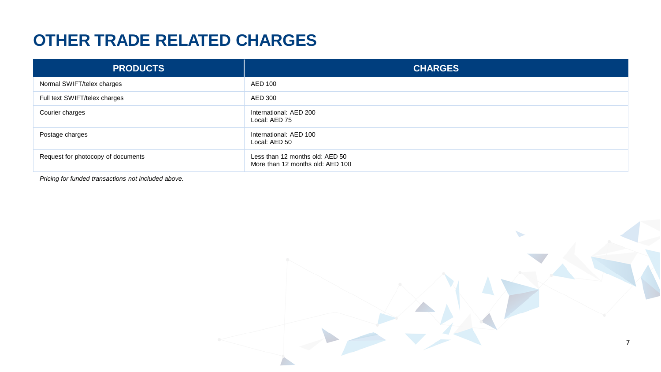#### **OTHER TRADE RELATED CHARGES**

| <b>PRODUCTS</b>                    | <b>CHARGES</b>                                                      |
|------------------------------------|---------------------------------------------------------------------|
| Normal SWIFT/telex charges         | AED 100                                                             |
| Full text SWIFT/telex charges      | AED 300                                                             |
| Courier charges                    | International: AED 200<br>Local: AED 75                             |
| Postage charges                    | International: AED 100<br>Local: AED 50                             |
| Request for photocopy of documents | Less than 12 months old: AED 50<br>More than 12 months old: AED 100 |

*Pricing for funded transactions not included above.*